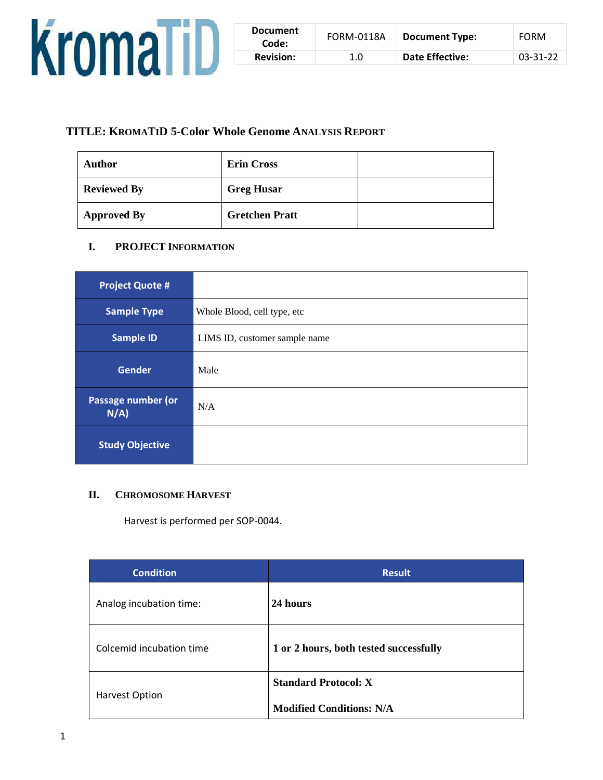

| <b>Document</b><br>Code: | FORM-0118A | <b>Document Type:</b> | <b>FORM</b>    |
|--------------------------|------------|-----------------------|----------------|
| <b>Revision:</b>         | 1.0        | Date Effective:       | $03 - 31 - 22$ |

# **TITLE: KROMATID 5-Color Whole Genome ANALYSIS REPORT**

| Author             | <b>Erin Cross</b>     |  |
|--------------------|-----------------------|--|
| <b>Reviewed By</b> | <b>Greg Husar</b>     |  |
| <b>Approved By</b> | <b>Gretchen Pratt</b> |  |

# **I. PROJECT INFORMATION**

| <b>Project Quote #</b>        |                               |
|-------------------------------|-------------------------------|
| <b>Sample Type</b>            | Whole Blood, cell type, etc   |
| <b>Sample ID</b>              | LIMS ID, customer sample name |
| <b>Gender</b>                 | Male                          |
| Passage number (or<br>$N/A$ ) | N/A                           |
| <b>Study Objective</b>        |                               |

## **II. CHROMOSOME HARVEST**

Harvest is performed per SOP-0044.

| <b>Condition</b>         | <b>Result</b>                          |
|--------------------------|----------------------------------------|
| Analog incubation time:  | 24 hours                               |
| Colcemid incubation time | 1 or 2 hours, both tested successfully |
| <b>Harvest Option</b>    | <b>Standard Protocol: X</b>            |
|                          | <b>Modified Conditions: N/A</b>        |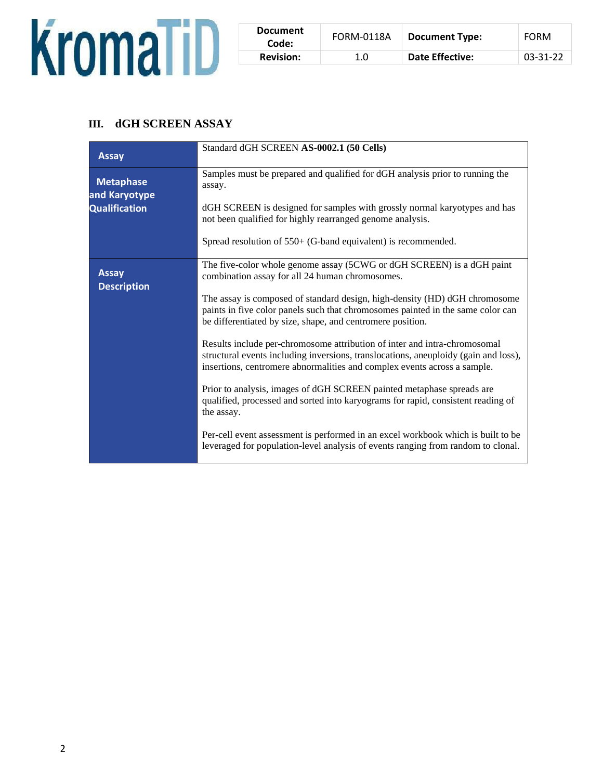

| <b>Document</b><br>Code: | <b>FORM-0118A</b> | <b>Document Type:</b>  | FORM     |
|--------------------------|-------------------|------------------------|----------|
| <b>Revision:</b>         | 1.0               | <b>Date Effective:</b> | 03-31-22 |

# **III. dGH SCREEN ASSAY**

| <b>Assay</b>                                              | Standard dGH SCREEN AS-0002.1 (50 Cells)                                                                                                                                                                                                                                                                                                                                                                                                                                                                                                                                                                                                                                                                                                                                           |
|-----------------------------------------------------------|------------------------------------------------------------------------------------------------------------------------------------------------------------------------------------------------------------------------------------------------------------------------------------------------------------------------------------------------------------------------------------------------------------------------------------------------------------------------------------------------------------------------------------------------------------------------------------------------------------------------------------------------------------------------------------------------------------------------------------------------------------------------------------|
| <b>Metaphase</b><br>and Karyotype<br><b>Qualification</b> | Samples must be prepared and qualified for dGH analysis prior to running the<br>assay.<br>dGH SCREEN is designed for samples with grossly normal karyotypes and has<br>not been qualified for highly rearranged genome analysis.<br>Spread resolution of $550+$ (G-band equivalent) is recommended.                                                                                                                                                                                                                                                                                                                                                                                                                                                                                |
| <b>Assay</b><br><b>Description</b>                        | The five-color whole genome assay (5CWG or dGH SCREEN) is a dGH paint<br>combination assay for all 24 human chromosomes.<br>The assay is composed of standard design, high-density (HD) dGH chromosome<br>paints in five color panels such that chromosomes painted in the same color can<br>be differentiated by size, shape, and centromere position.<br>Results include per-chromosome attribution of inter and intra-chromosomal<br>structural events including inversions, translocations, aneuploidy (gain and loss),<br>insertions, centromere abnormalities and complex events across a sample.<br>Prior to analysis, images of dGH SCREEN painted metaphase spreads are<br>qualified, processed and sorted into karyograms for rapid, consistent reading of<br>the assay. |
|                                                           | Per-cell event assessment is performed in an excel workbook which is built to be<br>leveraged for population-level analysis of events ranging from random to clonal.                                                                                                                                                                                                                                                                                                                                                                                                                                                                                                                                                                                                               |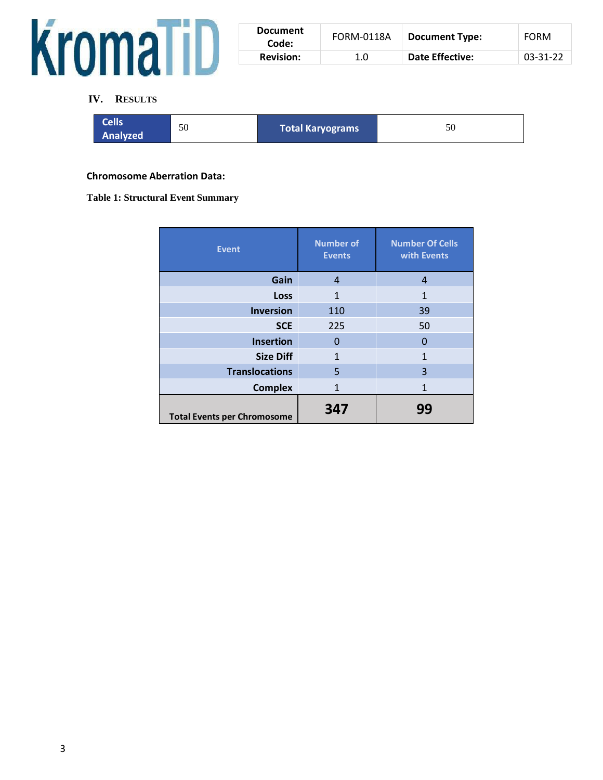

| <b>Document</b><br>Code: | <b>FORM-0118A</b> | <b>Document Type:</b> | <b>FORM</b>    |
|--------------------------|-------------------|-----------------------|----------------|
| <b>Revision:</b>         | 1.0               | Date Effective:       | $03 - 31 - 22$ |

## **IV. RESULTS**

| <b>Cells</b><br>50<br>Analyzed | Total Karyograms | 50 |
|--------------------------------|------------------|----|
|--------------------------------|------------------|----|

### **Chromosome Aberration Data:**

### **Table 1: Structural Event Summary**

| <b>Event</b>                       | <b>Number of</b><br><b>Events</b> | <b>Number Of Cells</b><br>with Events |  |  |  |  |
|------------------------------------|-----------------------------------|---------------------------------------|--|--|--|--|
| Gain                               | 4                                 | $\overline{4}$                        |  |  |  |  |
| Loss                               | 1                                 | 1                                     |  |  |  |  |
| <b>Inversion</b>                   | 110                               | 39                                    |  |  |  |  |
| <b>SCE</b>                         | 225                               | 50                                    |  |  |  |  |
| <b>Insertion</b>                   | 0                                 | 0                                     |  |  |  |  |
| <b>Size Diff</b>                   | $\mathbf{1}$                      | 1                                     |  |  |  |  |
| <b>Translocations</b>              | 5                                 | 3                                     |  |  |  |  |
| <b>Complex</b>                     | $\mathbf{1}$                      | 1                                     |  |  |  |  |
| <b>Total Events per Chromosome</b> | 347                               | 99                                    |  |  |  |  |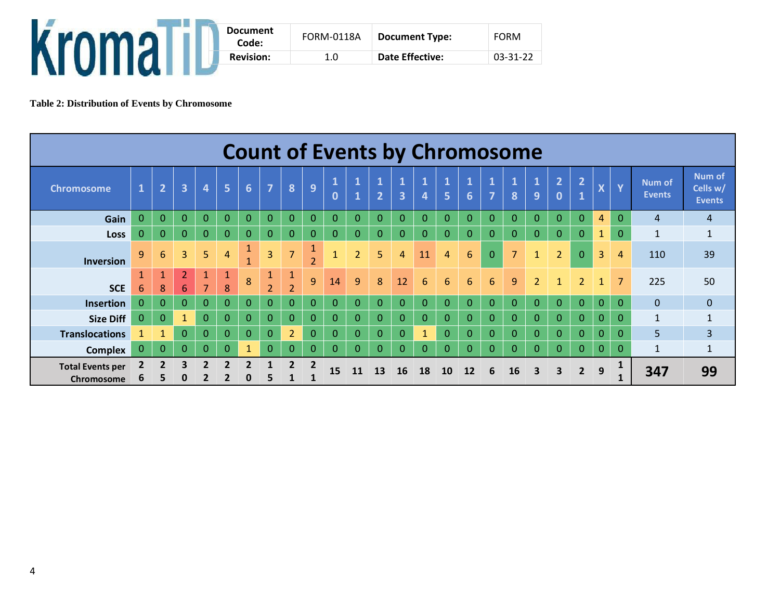| <b>Document</b><br>Code: | <b>FORM-0118A</b> | <b>Document Type:</b>  | <b>FORM</b> |
|--------------------------|-------------------|------------------------|-------------|
| <b>Revision:</b>         | 1.0               | <b>Date Effective:</b> | 03-31-22    |
|                          |                   |                        |             |

**Table 2: Distribution of Events by Chromosome**

|                                       | <b>Count of Events by Chromosome</b> |                     |                                  |                |                |                         |                                |                                |                      |                              |                |                                |                                         |                                |                                |                                 |                         |                   |                         |                                |                                   |                |                |                         |                                            |
|---------------------------------------|--------------------------------------|---------------------|----------------------------------|----------------|----------------|-------------------------|--------------------------------|--------------------------------|----------------------|------------------------------|----------------|--------------------------------|-----------------------------------------|--------------------------------|--------------------------------|---------------------------------|-------------------------|-------------------|-------------------------|--------------------------------|-----------------------------------|----------------|----------------|-------------------------|--------------------------------------------|
| <b>Chromosome</b>                     | $\overline{\mathbf{1}}$              | $\overline{2}$      | $\overline{\mathbf{3}}$          | 4              | 5              | $6\phantom{1}6$         | $\overline{7}$                 | 8                              | 9                    | $\mathbf{1}$<br>$\mathbf{0}$ | L,             | $\mathbf{1}$<br>$\overline{2}$ | $\mathbf{1}$<br>$\overline{\mathbf{3}}$ | $\mathbf{1}$<br>$\overline{4}$ | $\mathbf{1}$<br>$\overline{5}$ | $\mathbf{1}$<br>$6\overline{6}$ | $\overline{\mathbf{z}}$ | $\mathbf{1}$<br>8 | $\mathbf{1}$<br>9       | $\overline{2}$<br>$\mathbf{0}$ | $\overline{2}$<br>$\vert 1 \vert$ | $\mathbf{v}$   | $\mathbf{Y}$   | Num of<br><b>Events</b> | <b>Num of</b><br>Cells w/<br><b>Events</b> |
| Gain                                  | $\overline{0}$                       | $\Omega$            | $\Omega$                         | $\Omega$       | $\Omega$       | $\mathbf 0$             | 0                              | $\Omega$                       | $\Omega$             | $\mathbf{0}$                 | $\Omega$       | $\Omega$                       | $\Omega$                                | $\mathbf{0}$                   | $\Omega$                       | $\mathbf{0}$                    | $\Omega$                | $\Omega$          | $\Omega$                | $\overline{0}$                 | $\overline{0}$                    | 4              | $\Omega$       | $\overline{4}$          | 4                                          |
| Loss                                  | $\overline{0}$                       | $\Omega$            | $\mathbf{0}$                     | $\theta$       | $\mathbf{0}$   | $\mathbf{0}$            | $\mathbf{0}$                   | $\mathbf{0}$                   | $\Omega$             | $\overline{0}$               | $\Omega$       | $\overline{0}$                 | $\mathbf 0$                             | $\mathbf{0}$                   | $\Omega$                       | $\mathbf{0}$                    | $\overline{0}$          | $\mathbf{0}$      | $\mathbf{0}$            | $\overline{0}$                 | $\overline{0}$                    | $\mathbf{1}$   | $\mathbf{0}$   | $\mathbf{1}$            | $\mathbf{1}$                               |
| <b>Inversion</b>                      | 9                                    | 6                   | 3                                | 5              | 4              | $\mathbf{1}$            | $\overline{3}$                 |                                | a.<br>$\overline{2}$ | $\mathbf{1}$                 | $\overline{2}$ | 5                              | 4                                       | 11                             | $\overline{4}$                 | 6                               | $\Omega$                | $\overline{7}$    | $\mathbf{1}$            | $\overline{2}$                 | $\overline{0}$                    | 3              | $\overline{A}$ | 110                     | 39                                         |
| <b>SCE</b>                            | 6                                    | $\mathbf{1}$<br>8   | $\overline{2}$<br>$6\phantom{1}$ | $\overline{7}$ | 8              | 8                       | $\mathbf{1}$<br>$\overline{2}$ | $\mathbf{1}$<br>$\overline{2}$ | $\overline{9}$       | 14                           | 9              | 8                              | 12                                      | 6                              | 6                              | 6                               | 6                       | 9                 | $\overline{2}$          |                                | $\overline{2}$                    | 1              | $\overline{7}$ | 225                     | 50                                         |
| <b>Insertion</b>                      | 0                                    | $\Omega$            | $\mathbf{0}$                     | $\theta$       | $\overline{0}$ | $\mathbf 0$             | $\overline{0}$                 | $\overline{0}$                 | $\mathbf{0}$         | $\overline{0}$               | $\mathbf{0}$   | $\overline{0}$                 | $\mathbf{0}$                            | $\overline{0}$                 | $\overline{0}$                 | $\overline{0}$                  | $\overline{0}$          | $\overline{0}$    | $\mathbf{0}$            | $\mathbf{0}$                   | $\overline{0}$                    | $\overline{0}$ | $\mathbf{0}$   | $\Omega$                | $\mathbf{0}$                               |
| <b>Size Diff</b>                      | $\overline{0}$                       | $\Omega$            | $\mathbf{1}$                     | $\Omega$       | $\Omega$       | $\overline{0}$          | 0                              | $\Omega$                       | $\overline{0}$       | $\mathbf{0}$                 | $\Omega$       | $\overline{0}$                 | $\Omega$                                | $\mathbf{0}$                   | $\Omega$                       | $\mathbf{0}$                    | $\Omega$                | $\Omega$          | $\Omega$                | $\Omega$                       | $\overline{0}$                    | $\Omega$       | $\Omega$       | $\mathbf{1}$            | $\mathbf{1}$                               |
| <b>Translocations</b>                 |                                      |                     | $\Omega$                         | 0              | $\Omega$       | $\mathbf{0}$            | $\mathbf{0}$                   | $\overline{2}$                 | $\mathbf{0}$         | $\overline{0}$               | 0              | $\overline{0}$                 | $\Omega$                                | 1                              | $\Omega$                       | $\mathbf{0}$                    | $\Omega$                | $\Omega$          | $\Omega$                | $\Omega$                       | $\overline{0}$                    | $\Omega$       | $\Omega$       | 5 <sup>5</sup>          | $\overline{3}$                             |
| <b>Complex</b>                        | $\mathbf{0}$                         | $\mathbf{0}$        | $\Omega$                         | $\Omega$       | $\Omega$       | $\mathbf{1}$            | $\mathbf{0}$                   | $\Omega$                       | $\overline{0}$       | $\mathbf{0}$                 | $\Omega$       | $\Omega$                       | $\mathbf{0}$                            | $\mathbf{0}$                   | $\Omega$                       | $\Omega$                        | $\Omega$                | $\mathbf{0}$      | $\Omega$                | $\overline{0}$                 | $\overline{0}$                    | $\Omega$       | $\Omega$       | $\mathbf{1}$            | $\mathbf{1}$                               |
| <b>Total Events per</b><br>Chromosome | $\mathbf{2}$<br>ь                    | $\overline{2}$<br>5 | 3<br>0                           | 2              | $\mathbf{z}$   | $\overline{\mathbf{z}}$ | 5                              | $\overline{2}$                 | $\overline{2}$       | 15                           | 11             | 13                             | <b>16</b>                               | 18                             | 10                             | 12                              | 6                       | 16                | $\overline{\mathbf{3}}$ | 3                              | $\overline{2}$                    | 9              |                | 347                     | 99                                         |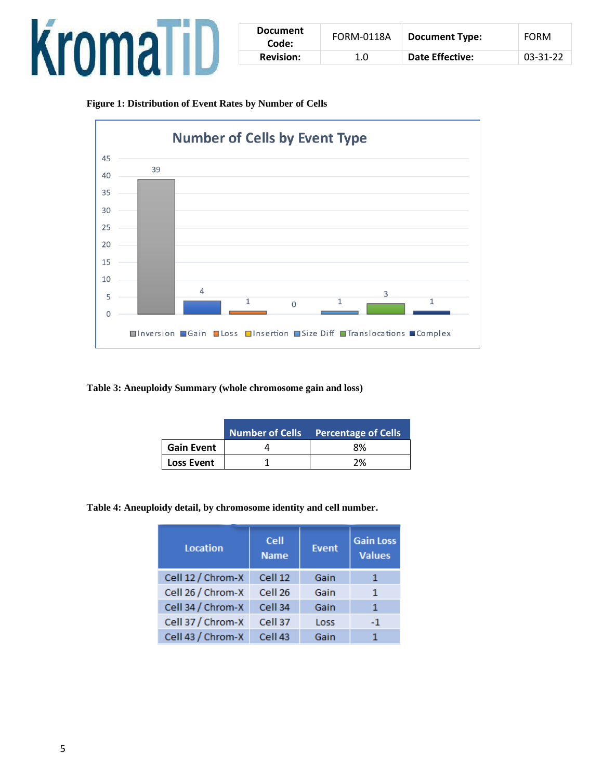

| <b>Document</b><br>Code: | <b>FORM-0118A</b> | Document Type:         | <b>FORM</b> |
|--------------------------|-------------------|------------------------|-------------|
| <b>Revision:</b>         | 1.0               | <b>Date Effective:</b> | 03-31-22    |

**Figure 1: Distribution of Event Rates by Number of Cells**



**Table 3: Aneuploidy Summary (whole chromosome gain and loss)**

|                   | <b>Number of Cells</b> Percentage of Cells |
|-------------------|--------------------------------------------|
| <b>Gain Event</b> | 8%                                         |
| <b>Loss Event</b> | ን%                                         |

**Table 4: Aneuploidy detail, by chromosome identity and cell number.**

| <b>Location</b>   | Cell<br><b>Name</b> | <b>Event</b> | <b>Gain Loss</b><br><b>Values</b> |  |
|-------------------|---------------------|--------------|-----------------------------------|--|
| Cell 12 / Chrom-X | Cell 12             | Gain         | 1                                 |  |
| Cell 26 / Chrom-X | Cell <sub>26</sub>  | Gain         | 1                                 |  |
| Cell 34 / Chrom-X | Cell 34             | Gain         | 1                                 |  |
| Cell 37 / Chrom-X | Cell 37             | Loss         | $-1$                              |  |
| Cell 43 / Chrom-X | Cell <sub>43</sub>  | Gain         |                                   |  |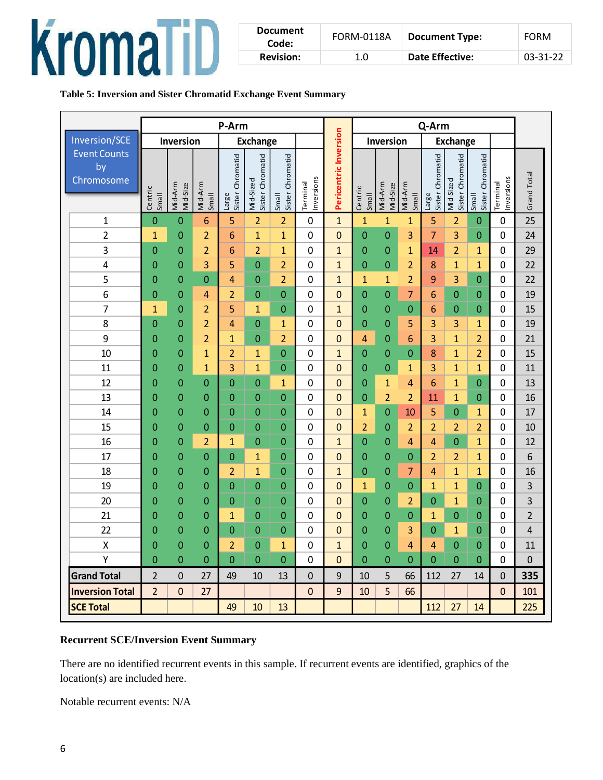

| <b>Document</b><br>Code: | <b>FORM-0118A</b> | <b>Document Type:</b> | <b>FORM</b>    |
|--------------------------|-------------------|-----------------------|----------------|
| <b>Revision:</b>         | 1.0               | Date Effective:       | $03 - 31 - 22$ |

## **Table 5: Inversion and Sister Chromatid Exchange Event Summary**

|                                                                                                                                                                                                                                 | P-Arm                   |                     |                  |                           |                               |                           | Q-Arm                  |                       |                              |                     |                  |                           |                               |                                  |                        |                |
|---------------------------------------------------------------------------------------------------------------------------------------------------------------------------------------------------------------------------------|-------------------------|---------------------|------------------|---------------------------|-------------------------------|---------------------------|------------------------|-----------------------|------------------------------|---------------------|------------------|---------------------------|-------------------------------|----------------------------------|------------------------|----------------|
| <b>Inversion/SCE</b>                                                                                                                                                                                                            |                         | Inversion           |                  |                           | <b>Exchange</b>               |                           |                        |                       | Inversion<br><b>Exchange</b> |                     |                  |                           |                               |                                  |                        |                |
| Event Counts<br>by<br>Chromosome                                                                                                                                                                                                | Centric<br><b>Small</b> | Mid-Arm<br>Mid-Size | Mid-Arm<br>Small | Sister Chromatid<br>Large | Sister Chromatid<br>Mid-Sized | Sister Chromatid<br>Small | Inversions<br>Terminal | Pericentric Inversion | Centric<br><b>Small</b>      | Mid-Arm<br>Mid-Size | Mid-Arm<br>Small | Sister Chromatid<br>Large | Sister Chromatid<br>Mid-Sized | Sister Chromatid<br><b>Small</b> | Inversions<br>Terminal | Grand Total    |
| $\mathbf{1}$                                                                                                                                                                                                                    | $\mathbf{0}$            | $\mathbf 0$         | 6                | 5                         | $\overline{2}$                | $\overline{2}$            | 0                      | $\mathbf{1}$          | $\mathbf{1}$                 | $\mathbf{1}$        | $\mathbf{1}$     | 5                         | $\overline{2}$                | $\mathbf{0}$                     | $\mathbf 0$            | 25             |
| $\overline{2}$                                                                                                                                                                                                                  | $\mathbf{1}$            | $\mathbf{0}$        | $\overline{2}$   | 6                         | $\overline{1}$                | $\mathbf{1}$              | 0                      | $\mathbf 0$           | $\mathbf{0}$                 | 0                   | 3                | $\overline{7}$            | 3                             | $\overline{0}$                   | $\mathbf 0$            | 24             |
| $\mathbf{3}$                                                                                                                                                                                                                    | 0                       | 0                   | $\overline{a}$   | 6                         | $\overline{2}$                | $\mathbf{1}$              | 0                      | $\mathbf{1}$          | $\mathbf 0$                  | $\mathbf 0$         | $\mathbf{1}$     | 14                        | $\overline{2}$                | 1                                | 0                      | 29             |
| 4                                                                                                                                                                                                                               | $\mathbf 0$             | $\overline{0}$      | 3                | 5                         | $\mathbf 0$                   | $\overline{2}$            | 0                      | $\mathbf{1}$          | $\mathbf 0$                  | $\mathbf 0$         | $\overline{2}$   | 8                         | $\mathbf{1}$                  | $\mathbf{1}$                     | $\mathbf 0$            | 22             |
| 5                                                                                                                                                                                                                               | $\mathbf 0$             | 0                   | 0                | 4                         | $\mathbf 0$                   | $\overline{2}$            | 0                      | $\mathbf{1}$          | $\mathbf{1}$                 | $\overline{1}$      | $\overline{2}$   | 9                         | 3                             | $\mathbf{0}$                     | 0                      | 22             |
| 6                                                                                                                                                                                                                               | $\mathbf{0}$            | $\mathbf{0}$        | 4                | $\overline{2}$            | $\mathbf 0$                   | $\boldsymbol{0}$          | 0                      | $\mathbf 0$           | $\mathbf 0$                  | 0                   | 7                | 6                         | $\mathbf{0}$                  | $\mathbf 0$                      | $\mathbf 0$            | 19             |
| $\overline{7}$                                                                                                                                                                                                                  | $\overline{1}$          | $\mathbf 0$         | $\overline{2}$   | 5                         | $\mathbf{1}$                  | $\boldsymbol{0}$          | 0                      | $\mathbf{1}$          | $\mathbf 0$                  | $\mathbf 0$         | 0                | 6                         | $\mathbf{0}$                  | $\mathbf 0$                      | 0                      | 15             |
| 8                                                                                                                                                                                                                               | $\boldsymbol{0}$        | 0                   | $\overline{2}$   | 4                         | $\mathbf 0$                   | $\mathbf{1}$              | 0                      | $\mathbf 0$           | $\mathbf 0$                  | 0                   | 5                | 3                         | 3                             | 1                                | $\mathbf 0$            | 19             |
| 9                                                                                                                                                                                                                               | $\mathbf 0$             | 0                   | $\overline{a}$   | $\mathbf{1}$              | $\mathbf 0$                   | $\overline{2}$            | 0                      | $\mathbf 0$           | 4                            | 0                   | 6                | 3                         | $\mathbf{1}$                  | $\overline{2}$                   | $\mathbf 0$            | 21             |
| 10                                                                                                                                                                                                                              | $\mathbf 0$             | 0                   | $\mathbf{1}$     | $\overline{2}$            | $\mathbf{1}$                  | $\boldsymbol{0}$          | 0                      | $\mathbf{1}$          | $\boldsymbol{0}$             | $\mathbf 0$         | $\mathbf{0}$     | 8                         | $\mathbf{1}$                  | $\overline{2}$                   | $\mathbf 0$            | 15             |
| 11                                                                                                                                                                                                                              | 0                       | 0                   | $\mathbf{1}$     | 3                         | $\mathbf{1}$                  | $\boldsymbol{0}$          | 0                      | $\mathbf 0$           | 0                            | $\mathbf 0$         | $\mathbf{1}$     | 3                         | $\mathbf{1}$                  | $\overline{1}$                   | 0                      | 11             |
| 12                                                                                                                                                                                                                              | $\mathbf{0}$            | $\mathbf{0}$        | 0                | $\mathbf 0$               | $\boldsymbol{0}$              | $\mathbf{1}$              | 0                      | $\mathbf 0$           | 0                            | $\mathbf{1}$        | 4                | 6                         | $\mathbf{1}$                  | $\mathbf{0}$                     | 0                      | 13             |
| 13                                                                                                                                                                                                                              | 0                       | $\mathbf{0}$        | 0                | 0                         | $\mathbf 0$                   | $\mathbf 0$               | 0                      | $\mathbf 0$           | $\mathbf 0$                  | $\overline{2}$      | $\overline{2}$   | 11                        | $\mathbf{1}$                  | $\mathbf{0}$                     | 0                      | 16             |
| 14                                                                                                                                                                                                                              | $\mathbf 0$             | $\mathbf{0}$        | 0                | $\mathbf{0}$              | $\mathbf 0$                   | $\mathbf 0$               | 0                      | $\mathbf 0$           | $\mathbf{1}$                 | 0                   | 10               | 5                         | $\overline{0}$                | 1                                | $\mathbf 0$            | 17             |
| 15                                                                                                                                                                                                                              | 0                       | $\mathbf{0}$        | $\mathbf 0$      | $\mathbf 0$               | $\mathbf 0$                   | $\mathbf 0$               | 0                      | $\mathbf 0$           | $\overline{a}$               | 0                   | $\overline{2}$   | 2                         | 2                             | $\overline{2}$                   | 0                      | 10             |
| 16                                                                                                                                                                                                                              | $\mathbf{0}$            | $\overline{0}$      | $\overline{2}$   | 1                         | $\mathbf 0$                   | $\mathbf 0$               | 0                      | $\mathbf{1}$          | $\mathbf{0}$                 | 0                   | 4                | $\overline{4}$            | $\overline{0}$                | $\mathbf{1}$                     | 0                      | 12             |
| 17                                                                                                                                                                                                                              | 0                       | $\mathbf{0}$        | $\mathbf{0}$     | $\mathbf 0$               | $\mathbf{1}$                  | $\mathbf 0$               | 0                      | $\mathbf 0$           | $\boldsymbol{0}$             | $\mathbf{0}$        | $\overline{0}$   | $\overline{2}$            | $\overline{2}$                | $\mathbf{1}$                     | 0                      | 6              |
| 18                                                                                                                                                                                                                              | $\mathbf{0}$            | $\mathbf{0}$        | 0                | $\overline{2}$            | $\overline{1}$                | $\mathbf 0$               | 0                      | $\mathbf{1}$          | $\mathbf 0$                  | 0                   | $\overline{7}$   | $\overline{4}$            | $\mathbf{1}$                  | $\overline{1}$                   | $\mathbf 0$            | 16             |
| 19                                                                                                                                                                                                                              | $\mathbf 0$             | $\mathbf{0}$        | $\mathbf{0}$     | $\mathbf 0$               | $\mathbf 0$                   | $\mathbf 0$               | 0                      | $\mathbf 0$           | $\mathbf{1}$                 | 0                   | 0                | 1                         | $\mathbf{1}$                  | $\mathbf{0}$                     | 0                      | $\overline{3}$ |
| 20                                                                                                                                                                                                                              | $\mathbf{0}$            | $\mathbf{0}$        | 0                | $\mathbf{0}$              | $\boldsymbol{0}$              | $\mathbf 0$               | 0                      | $\mathbf 0$           | $\mathbf{0}$                 | 0                   | $\overline{2}$   | 0                         | $\mathbf{1}$                  | $\mathbf 0$                      | 0                      | 3              |
| 21                                                                                                                                                                                                                              | $\mathbf 0$             | $\mathbf{0}$        | 0                | $\mathbf{1}$              | $\mathbf{0}$                  | $\mathbf 0$               | 0                      | $\mathbf 0$           | $\mathbf 0$                  | $\mathbf 0$         | $\mathbf{0}$     | 1                         | 0                             | $\mathbf 0$                      | 0                      | $\overline{2}$ |
| 22                                                                                                                                                                                                                              | $\mathbf 0$             | $\mathbf{0}$        | $\mathbf{0}$     | $\mathbf 0$               | $\mathbf 0$                   | $\mathbf 0$               | 0                      | $\mathbf 0$           | $\mathbf 0$                  | 0                   | 3                | 0                         | 1                             | $\mathbf 0$                      | $\mathbf 0$            | $\overline{4}$ |
| Χ                                                                                                                                                                                                                               | 0                       | $\overline{0}$      | $\overline{0}$   | $\overline{2}$            | 0                             | $\mathbf{1}$              | 0                      | $\mathbf{1}$          | $\overline{0}$               | 0                   | 4                | 4                         | 0                             | $\mathbf 0$                      | 0                      | 11             |
| Υ                                                                                                                                                                                                                               | $\mathbf{0}$            | $\mathbf 0$         | $\pmb{0}$        | $\overline{0}$            | $\mathbf 0$                   | $\boldsymbol{0}$          | 0                      | $\mathbf 0$           | $\mathbf{0}$                 | $\mathbf 0$         | $\mathbf{0}$     | 0                         | $\mathbf{0}$                  | $\mathbf 0$                      | $\mathbf 0$            | $\mathbf 0$    |
| <b>Grand Total</b>                                                                                                                                                                                                              | $\overline{2}$          | $\mathbf 0$         | 27               | 49                        | 10                            | 13                        | 0                      | 9                     | 10                           | 5                   | 66               | 112                       | 27                            | 14                               | 0                      | 335            |
| <b>Inversion Total</b>                                                                                                                                                                                                          | $\overline{2}$          | $\pmb{0}$           | 27               |                           |                               |                           | 0                      | 9                     | 10                           | 5                   | 66               |                           |                               |                                  | $\mathbf 0$            | 101            |
| <b>SCE Total</b>                                                                                                                                                                                                                |                         |                     |                  | 49                        | 10                            | 13                        |                        |                       |                              |                     |                  | 112                       | 27                            | 14                               |                        | 225            |
| <b>Recurrent SCE/Inversion Event Summary</b><br>There are no identified recurrent events in this sample. If recurrent events are identified, graphics of the<br>location(s) are included here.<br>Notable recurrent events: N/A |                         |                     |                  |                           |                               |                           |                        |                       |                              |                     |                  |                           |                               |                                  |                        |                |

### **Recurrent SCE/Inversion Event Summary**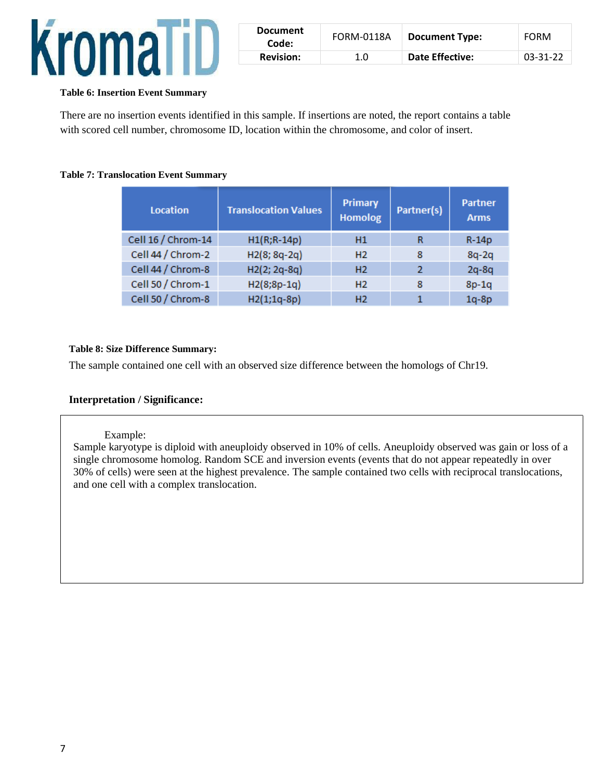

| <b>Document</b><br>Code: | FORM-0118A       | <b>Document Type:</b> | <b>FORM</b> |
|--------------------------|------------------|-----------------------|-------------|
| <b>Revision:</b>         | 1.0 <sub>1</sub> | Date Effective:       | 03-31-22    |

### **Table 6: Insertion Event Summary**

There are no insertion events identified in this sample. If insertions are noted, the report contains a table with scored cell number, chromosome ID, location within the chromosome, and color of insert.

### **Table 7: Translocation Event Summary**

| <b>Location</b>    | <b>Translocation Values</b> | Primary<br>Partner(s)<br><b>Homolog</b> |   | <b>Partner</b><br><b>Arms</b> |
|--------------------|-----------------------------|-----------------------------------------|---|-------------------------------|
| Cell 16 / Chrom-14 | $H1(R; R-14p)$              | H1                                      | R | $R-14p$                       |
| Cell 44 / Chrom-2  | H2(8; 8q-2q)                | H <sub>2</sub>                          | 8 | $8q-2q$                       |
| Cell 44 / Chrom-8  | H2(2; 2q-8q)                | H <sub>2</sub>                          | 2 | $2q-8q$                       |
| Cell 50 / Chrom-1  | $H2(8;8p-1q)$               | H <sub>2</sub>                          | 8 | $8p-1q$                       |
| Cell 50 / Chrom-8  | $H2(1;1q-8p)$               | H <sub>2</sub>                          |   | $1q-8p$                       |

### **Table 8: Size Difference Summary:**

The sample contained one cell with an observed size difference between the homologs of Chr19.

### **Interpretation / Significance:**

### Example:

Sample karyotype is diploid with aneuploidy observed in 10% of cells. Aneuploidy observed was gain or loss of a single chromosome homolog. Random SCE and inversion events (events that do not appear repeatedly in over 30% of cells) were seen at the highest prevalence. The sample contained two cells with reciprocal translocations, and one cell with a complex translocation.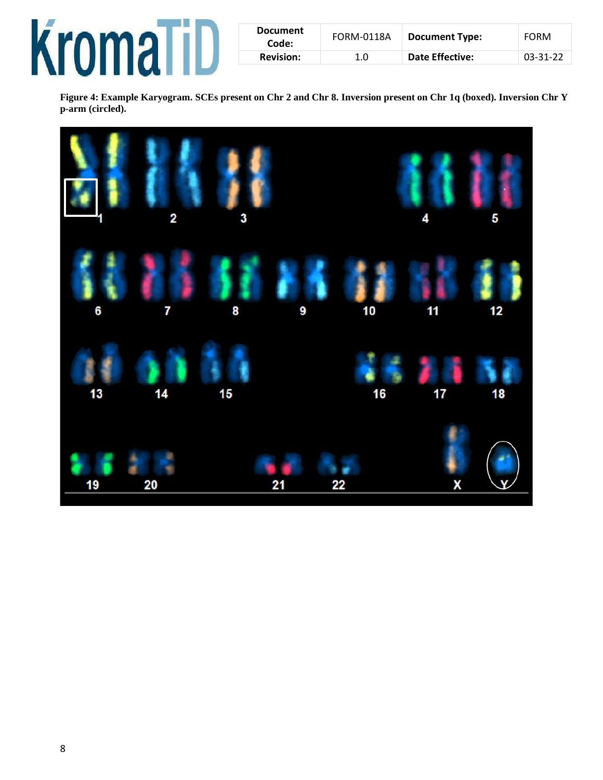

| <b>Document</b><br>Code: | FORM-0118A | <b>Document Type:</b> | FORM     |
|--------------------------|------------|-----------------------|----------|
| <b>Revision:</b>         | 1.0        | Date Effective:       | 03-31-22 |

**Figure 4: Example Karyogram. SCEs present on Chr 2 and Chr 8. Inversion present on Chr 1q (boxed). Inversion Chr Y p-arm (circled).**